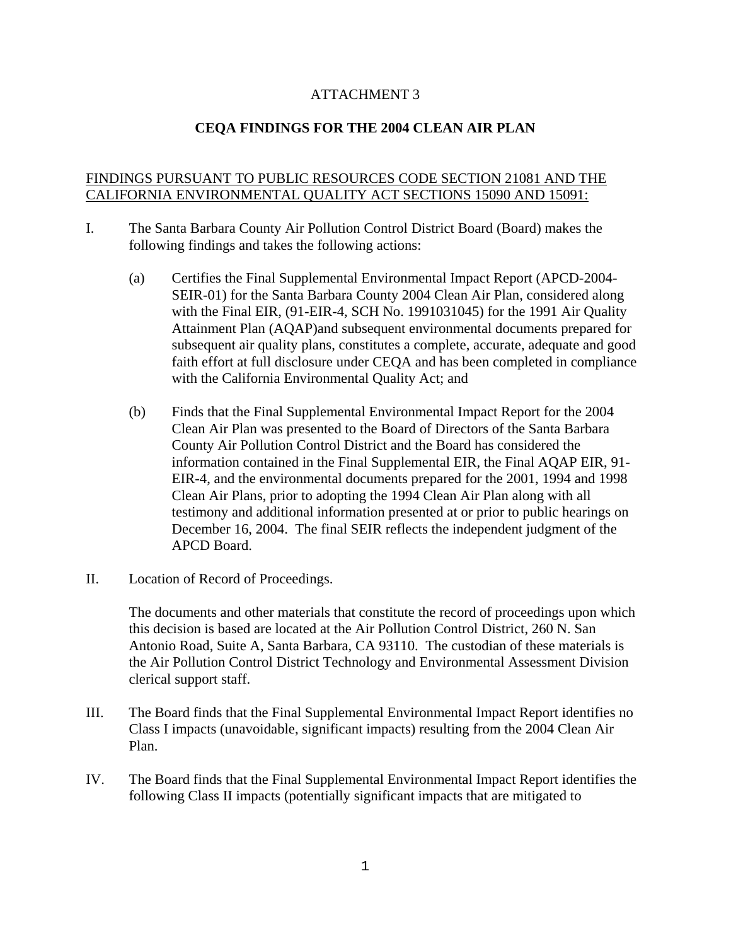## ATTACHMENT 3

## **CEQA FINDINGS FOR THE 2004 CLEAN AIR PLAN**

## FINDINGS PURSUANT TO PUBLIC RESOURCES CODE SECTION 21081 AND THE CALIFORNIA ENVIRONMENTAL QUALITY ACT SECTIONS 15090 AND 15091:

- I. The Santa Barbara County Air Pollution Control District Board (Board) makes the following findings and takes the following actions:
	- (a) Certifies the Final Supplemental Environmental Impact Report (APCD-2004- SEIR-01) for the Santa Barbara County 2004 Clean Air Plan, considered along with the Final EIR, (91-EIR-4, SCH No. 1991031045) for the 1991 Air Quality Attainment Plan (AQAP)and subsequent environmental documents prepared for subsequent air quality plans, constitutes a complete, accurate, adequate and good faith effort at full disclosure under CEQA and has been completed in compliance with the California Environmental Quality Act; and
	- (b) Finds that the Final Supplemental Environmental Impact Report for the 2004 Clean Air Plan was presented to the Board of Directors of the Santa Barbara County Air Pollution Control District and the Board has considered the information contained in the Final Supplemental EIR, the Final AQAP EIR, 91- EIR-4, and the environmental documents prepared for the 2001, 1994 and 1998 Clean Air Plans, prior to adopting the 1994 Clean Air Plan along with all testimony and additional information presented at or prior to public hearings on December 16, 2004. The final SEIR reflects the independent judgment of the APCD Board.
- II. Location of Record of Proceedings.

 The documents and other materials that constitute the record of proceedings upon which this decision is based are located at the Air Pollution Control District, 260 N. San Antonio Road, Suite A, Santa Barbara, CA 93110. The custodian of these materials is the Air Pollution Control District Technology and Environmental Assessment Division clerical support staff.

- III. The Board finds that the Final Supplemental Environmental Impact Report identifies no Class I impacts (unavoidable, significant impacts) resulting from the 2004 Clean Air Plan.
- IV. The Board finds that the Final Supplemental Environmental Impact Report identifies the following Class II impacts (potentially significant impacts that are mitigated to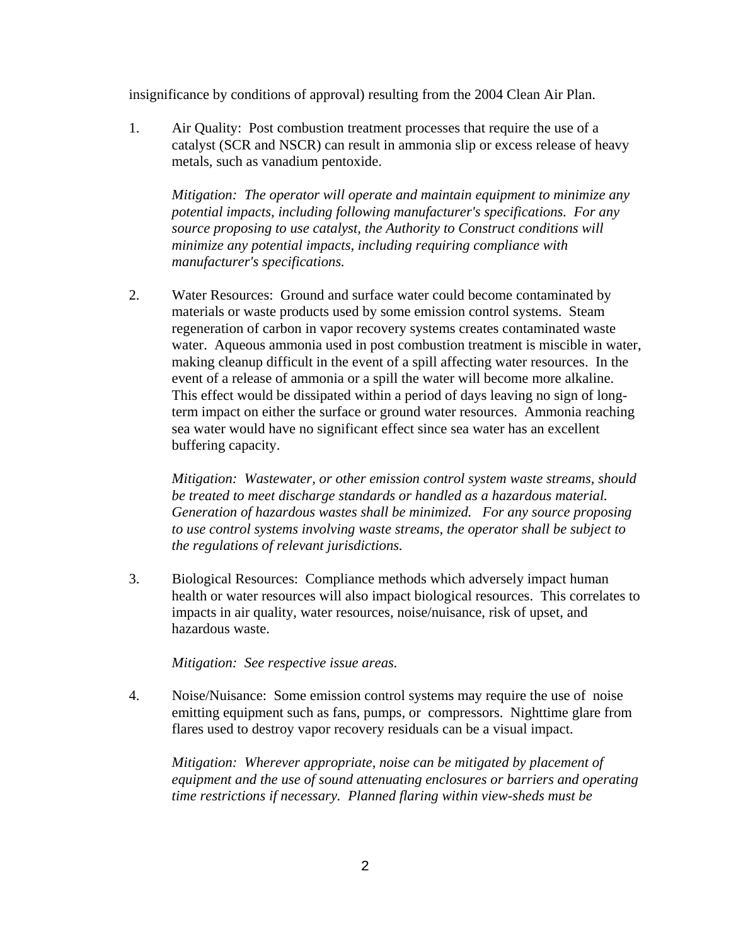insignificance by conditions of approval) resulting from the 2004 Clean Air Plan.

 1. Air Quality: Post combustion treatment processes that require the use of a catalyst (SCR and NSCR) can result in ammonia slip or excess release of heavy metals, such as vanadium pentoxide.

 *Mitigation: The operator will operate and maintain equipment to minimize any potential impacts, including following manufacturer's specifications. For any source proposing to use catalyst, the Authority to Construct conditions will minimize any potential impacts, including requiring compliance with manufacturer's specifications.*

 2. Water Resources: Ground and surface water could become contaminated by materials or waste products used by some emission control systems. Steam regeneration of carbon in vapor recovery systems creates contaminated waste water. Aqueous ammonia used in post combustion treatment is miscible in water, making cleanup difficult in the event of a spill affecting water resources. In the event of a release of ammonia or a spill the water will become more alkaline. This effect would be dissipated within a period of days leaving no sign of longterm impact on either the surface or ground water resources. Ammonia reaching sea water would have no significant effect since sea water has an excellent buffering capacity.

 *Mitigation: Wastewater, or other emission control system waste streams, should be treated to meet discharge standards or handled as a hazardous material. Generation of hazardous wastes shall be minimized. For any source proposing to use control systems involving waste streams, the operator shall be subject to the regulations of relevant jurisdictions.* 

 3. Biological Resources: Compliance methods which adversely impact human health or water resources will also impact biological resources. This correlates to impacts in air quality, water resources, noise/nuisance, risk of upset, and hazardous waste.

 *Mitigation: See respective issue areas.*

 4. Noise/Nuisance: Some emission control systems may require the use of noise emitting equipment such as fans, pumps, or compressors. Nighttime glare from flares used to destroy vapor recovery residuals can be a visual impact.

 *Mitigation: Wherever appropriate, noise can be mitigated by placement of equipment and the use of sound attenuating enclosures or barriers and operating time restrictions if necessary. Planned flaring within view-sheds must be*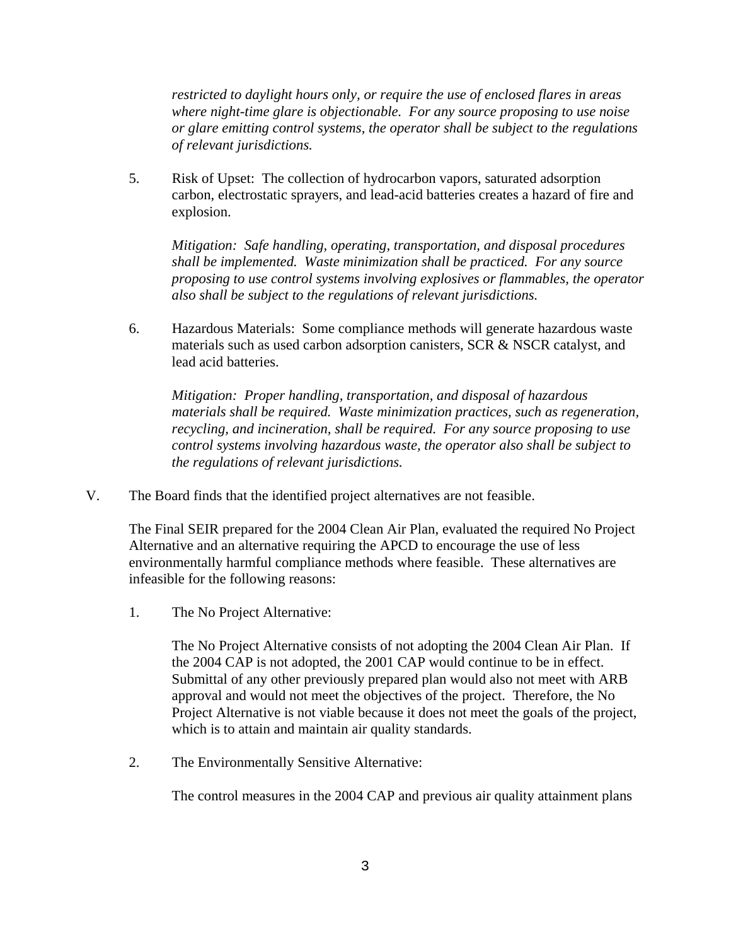*restricted to daylight hours only, or require the use of enclosed flares in areas where night-time glare is objectionable. For any source proposing to use noise or glare emitting control systems, the operator shall be subject to the regulations of relevant jurisdictions.* 

 5. Risk of Upset: The collection of hydrocarbon vapors, saturated adsorption carbon, electrostatic sprayers, and lead-acid batteries creates a hazard of fire and explosion.

 *Mitigation: Safe handling, operating, transportation, and disposal procedures shall be implemented. Waste minimization shall be practiced. For any source proposing to use control systems involving explosives or flammables, the operator also shall be subject to the regulations of relevant jurisdictions.* 

 6. Hazardous Materials: Some compliance methods will generate hazardous waste materials such as used carbon adsorption canisters, SCR & NSCR catalyst, and lead acid batteries.

 *Mitigation: Proper handling, transportation, and disposal of hazardous materials shall be required. Waste minimization practices, such as regeneration, recycling, and incineration, shall be required. For any source proposing to use control systems involving hazardous waste, the operator also shall be subject to the regulations of relevant jurisdictions.* 

V. The Board finds that the identified project alternatives are not feasible.

 The Final SEIR prepared for the 2004 Clean Air Plan, evaluated the required No Project Alternative and an alternative requiring the APCD to encourage the use of less environmentally harmful compliance methods where feasible. These alternatives are infeasible for the following reasons:

1. The No Project Alternative:

 The No Project Alternative consists of not adopting the 2004 Clean Air Plan. If the 2004 CAP is not adopted, the 2001 CAP would continue to be in effect. Submittal of any other previously prepared plan would also not meet with ARB approval and would not meet the objectives of the project. Therefore, the No Project Alternative is not viable because it does not meet the goals of the project, which is to attain and maintain air quality standards.

2. The Environmentally Sensitive Alternative:

The control measures in the 2004 CAP and previous air quality attainment plans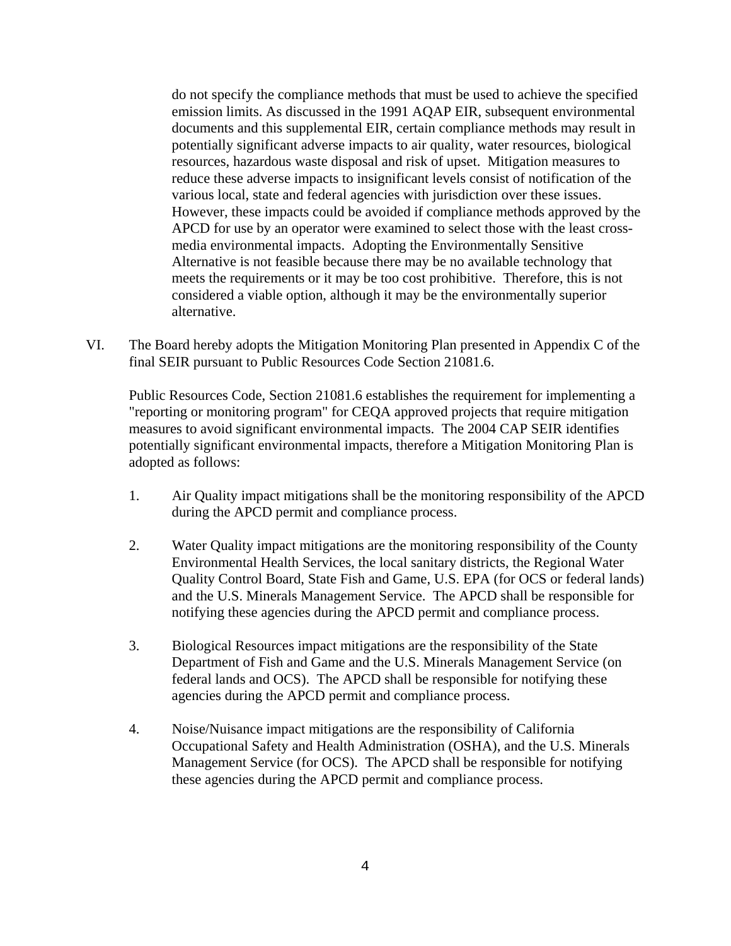do not specify the compliance methods that must be used to achieve the specified emission limits. As discussed in the 1991 AQAP EIR, subsequent environmental documents and this supplemental EIR, certain compliance methods may result in potentially significant adverse impacts to air quality, water resources, biological resources, hazardous waste disposal and risk of upset. Mitigation measures to reduce these adverse impacts to insignificant levels consist of notification of the various local, state and federal agencies with jurisdiction over these issues. However, these impacts could be avoided if compliance methods approved by the APCD for use by an operator were examined to select those with the least crossmedia environmental impacts. Adopting the Environmentally Sensitive Alternative is not feasible because there may be no available technology that meets the requirements or it may be too cost prohibitive. Therefore, this is not considered a viable option, although it may be the environmentally superior alternative.

VI. The Board hereby adopts the Mitigation Monitoring Plan presented in Appendix C of the final SEIR pursuant to Public Resources Code Section 21081.6.

 Public Resources Code, Section 21081.6 establishes the requirement for implementing a "reporting or monitoring program" for CEQA approved projects that require mitigation measures to avoid significant environmental impacts. The 2004 CAP SEIR identifies potentially significant environmental impacts, therefore a Mitigation Monitoring Plan is adopted as follows:

- 1. Air Quality impact mitigations shall be the monitoring responsibility of the APCD during the APCD permit and compliance process.
- 2. Water Quality impact mitigations are the monitoring responsibility of the County Environmental Health Services, the local sanitary districts, the Regional Water Quality Control Board, State Fish and Game, U.S. EPA (for OCS or federal lands) and the U.S. Minerals Management Service. The APCD shall be responsible for notifying these agencies during the APCD permit and compliance process.
- 3. Biological Resources impact mitigations are the responsibility of the State Department of Fish and Game and the U.S. Minerals Management Service (on federal lands and OCS). The APCD shall be responsible for notifying these agencies during the APCD permit and compliance process.
- 4. Noise/Nuisance impact mitigations are the responsibility of California Occupational Safety and Health Administration (OSHA), and the U.S. Minerals Management Service (for OCS). The APCD shall be responsible for notifying these agencies during the APCD permit and compliance process.